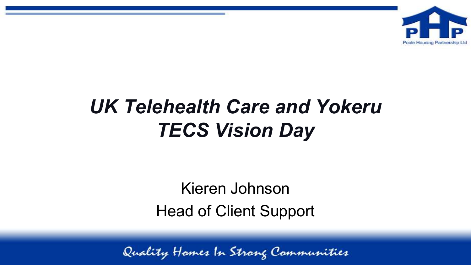

# *UK Telehealth Care and Yokeru TECS Vision Day*

Kieren Johnson Head of Client Support

Quality Hames In Strang Communities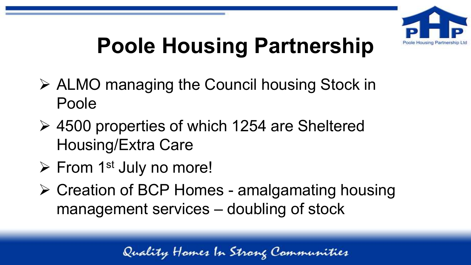

# **Poole Housing Partnership**

- ➢ ALMO managing the Council housing Stock in Poole
- ➢ 4500 properties of which 1254 are Sheltered Housing/Extra Care
- $\triangleright$  From 1<sup>st</sup> July no more!
- ➢ Creation of BCP Homes amalgamating housing management services – doubling of stock

Quality Homes In Strong Communities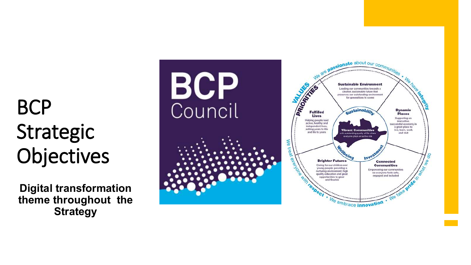# BCP Strategic Objectives

**Digital transformation theme throughout the Strategy**

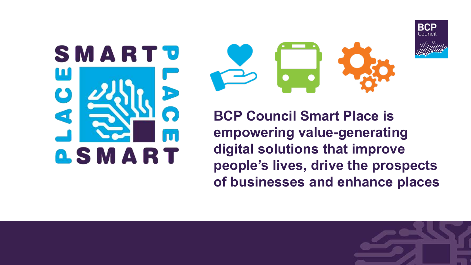



**BCP Council Smart Place is empowering value-generating digital solutions that improve people's lives, drive the prospects of businesses and enhance places**



**BCP** Counci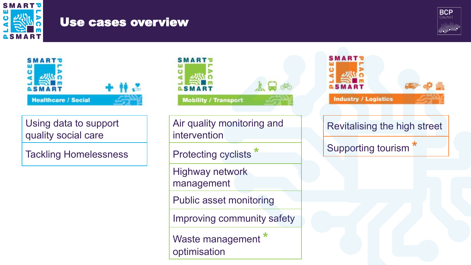

#### Use cases overview





Using data to support quality social care

Tackling Homelessness



Air quality monitoring and intervention

Protecting cyclists **\***

Highway network management

Public asset monitoring

Improving community safety

Waste management **\*** optimisation

**SMART Industry / Logistics** Revitalising the high street Supporting tourism **\***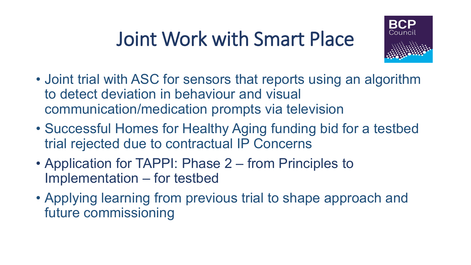# Joint Work with Smart Place



- Joint trial with ASC for sensors that reports using an algorithm to detect deviation in behaviour and visual communication/medication prompts via television
- Successful Homes for Healthy Aging funding bid for a testbed trial rejected due to contractual IP Concerns
- Application for TAPPI: Phase 2 from Principles to Implementation – for testbed
- Applying learning from previous trial to shape approach and future commissioning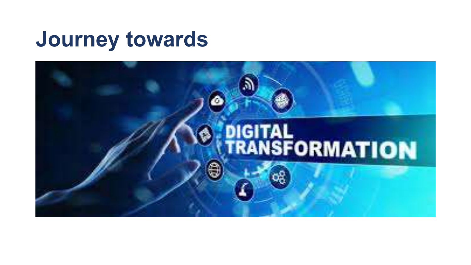# **Journey towards**

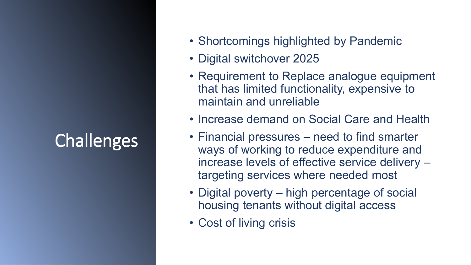#### **Challenges**

- Shortcomings highlighted by Pandemic
- Digital switchover 2025
- Requirement to Replace analogue equipment that has limited functionality, expensive to maintain and unreliable
- Increase demand on Social Care and Health
- Financial pressures need to find smarter ways of working to reduce expenditure and increase levels of effective service delivery – targeting services where needed most
- Digital poverty high percentage of social housing tenants without digital access
- Cost of living crisis